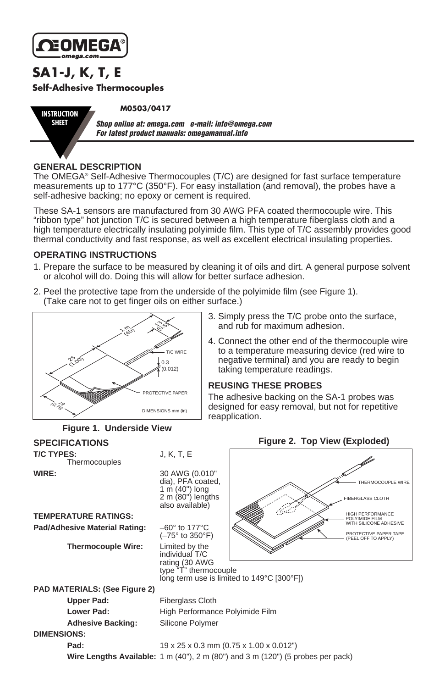

**INSTRUCTION SHEET**

**SA1-J, K, T, E Self-Adhesive Thermocouples**

**M0503/0417**

*Shop online at: omega.com e-mail: info@omega.com For latest product manuals: omegamanual.info*

### **GENERAL DESCRIPTION**

The OMEGA® Self-Adhesive Thermocouples (T/C) are designed for fast surface temperature measurements up to 177°C (350°F). For easy installation (and removal), the probes have a self-adhesive backing; no epoxy or cement is required.

These SA-1 sensors are manufactured from 30 AWG PFA coated thermocouple wire. This "ribbon type" hot junction T/C is secured between a high temperature fiberglass cloth and a high temperature electrically insulating polyimide film. This type of T/C assembly provides good thermal conductivity and fast response, as well as excellent electrical insulating properties.

### **OPERATING INSTRUCTIONS**

- 1. Prepare the surface to be measured by cleaning it of oils and dirt. A general purpose solvent or alcohol will do. Doing this will allow for better surface adhesion.
- 2. Peel the protective tape from the underside of the polyimide film (see Figure 1). (Take care not to get finger oils on either surface.)



- 3. Simply press the T/C probe onto the surface, and rub for maximum adhesion.
- 4. Connect the other end of the thermocouple wire to a temperature measuring device (red wire to negative terminal) and you are ready to begin taking temperature readings.

### **REUSING THESE PROBES**

The adhesive backing on the SA-1 probes was designed for easy removal, but not for repetitive reapplication.